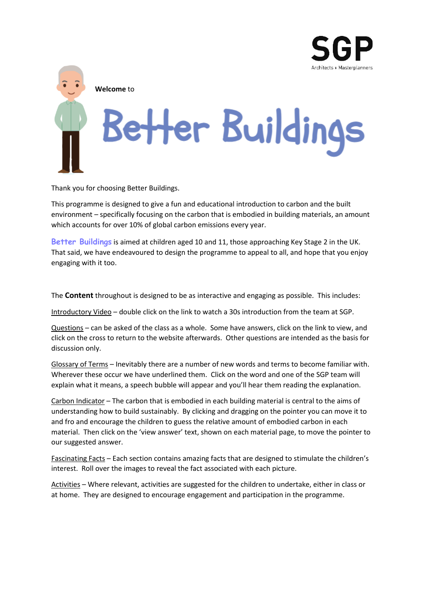

**Welcome** to

## Better Buildings

Thank you for choosing Better Buildings.

This programme is designed to give a fun and educational introduction to carbon and the built environment – specifically focusing on the carbon that is embodied in building materials, an amount which accounts for over 10% of global carbon emissions every year.

**Better Buildings** is aimed at children aged 10 and 11, those approaching Key Stage 2 in the UK. That said, we have endeavoured to design the programme to appeal to all, and hope that you enjoy engaging with it too.

The **Content** throughout is designed to be as interactive and engaging as possible. This includes:

Introductory Video – double click on the link to watch a 30s introduction from the team at SGP.

Questions – can be asked of the class as a whole. Some have answers, click on the link to view, and click on the cross to return to the website afterwards. Other questions are intended as the basis for discussion only.

Glossary of Terms – Inevitably there are a number of new words and terms to become familiar with. Wherever these occur we have underlined them. Click on the word and one of the SGP team will explain what it means, a speech bubble will appear and you'll hear them reading the explanation.

Carbon Indicator – The carbon that is embodied in each building material is central to the aims of understanding how to build sustainably. By clicking and dragging on the pointer you can move it to and fro and encourage the children to guess the relative amount of embodied carbon in each material. Then click on the 'view answer' text, shown on each material page, to move the pointer to our suggested answer.

Fascinating Facts – Each section contains amazing facts that are designed to stimulate the children's interest. Roll over the images to reveal the fact associated with each picture.

Activities – Where relevant, activities are suggested for the children to undertake, either in class or at home. They are designed to encourage engagement and participation in the programme.